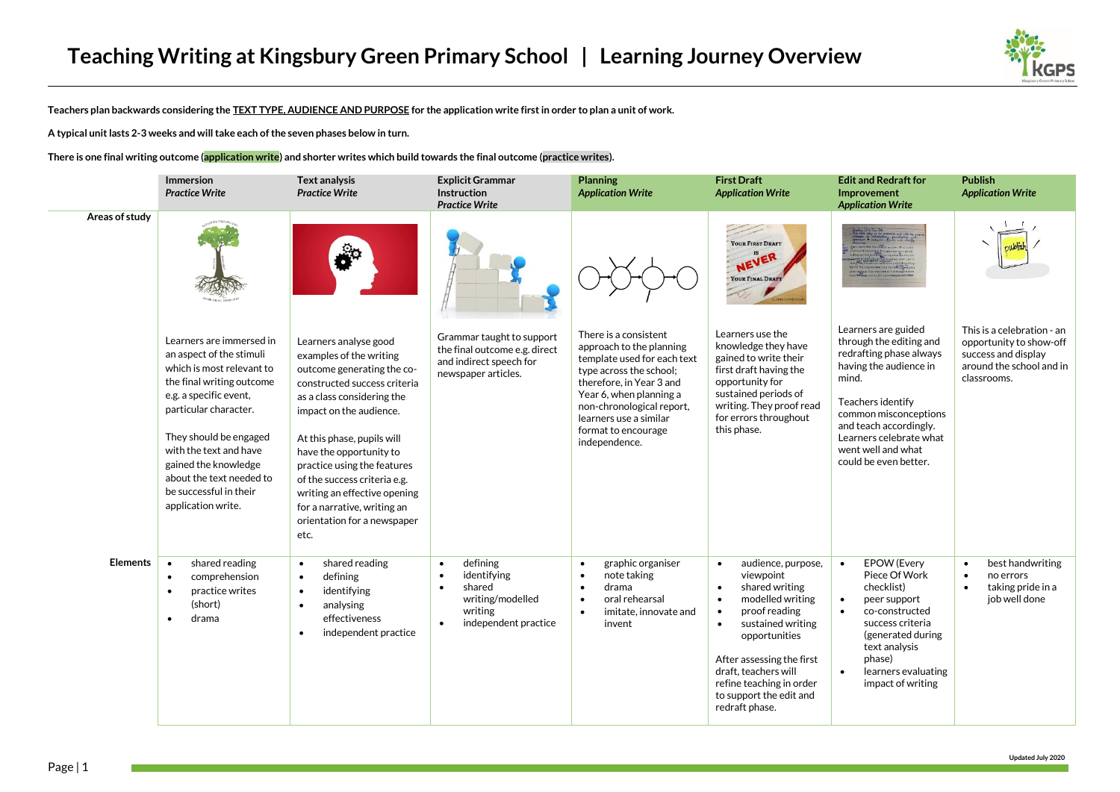

**Teachers plan backwards considering the TEXT TYPE, AUDIENCE AND PURPOSE for the application write first in order to plan a unit of work.**

**A typical unit lasts 2-3 weeks and will take each of the seven phases below in turn.** 

**There is one final writing outcome (application write) and shorter writes which build towards the final outcome (practice writes).**

|                 | Immersion<br><b>Practice Write</b>                                                                                                                                                                                                                                                                                        | <b>Text analysis</b><br><b>Practice Write</b>                                                                                                                                                                                                                                                                                                                                                         | <b>Explicit Grammar</b><br>Instruction<br><b>Practice Write</b>                                                                              | <b>Planning</b><br><b>Application Write</b>                                                                                                                                                                                                                       | <b>First Draft</b><br><b>Application Write</b>                                                                                                                                                                                                                                                                              | <b>Edit and Redraft for</b><br><b>Improvement</b><br><b>Application Write</b>                                                                                                                                                                                  | <b>Publish</b><br><b>Application Write</b>                                                                              |
|-----------------|---------------------------------------------------------------------------------------------------------------------------------------------------------------------------------------------------------------------------------------------------------------------------------------------------------------------------|-------------------------------------------------------------------------------------------------------------------------------------------------------------------------------------------------------------------------------------------------------------------------------------------------------------------------------------------------------------------------------------------------------|----------------------------------------------------------------------------------------------------------------------------------------------|-------------------------------------------------------------------------------------------------------------------------------------------------------------------------------------------------------------------------------------------------------------------|-----------------------------------------------------------------------------------------------------------------------------------------------------------------------------------------------------------------------------------------------------------------------------------------------------------------------------|----------------------------------------------------------------------------------------------------------------------------------------------------------------------------------------------------------------------------------------------------------------|-------------------------------------------------------------------------------------------------------------------------|
| Areas of study  |                                                                                                                                                                                                                                                                                                                           |                                                                                                                                                                                                                                                                                                                                                                                                       |                                                                                                                                              |                                                                                                                                                                                                                                                                   | <b>YOUR FIRST DRAFT</b><br>NEVER<br>YOUR FINAL DRAFT                                                                                                                                                                                                                                                                        |                                                                                                                                                                                                                                                                |                                                                                                                         |
|                 | Learners are immersed in<br>an aspect of the stimuli<br>which is most relevant to<br>the final writing outcome<br>e.g. a specific event,<br>particular character.<br>They should be engaged<br>with the text and have<br>gained the knowledge<br>about the text needed to<br>be successful in their<br>application write. | Learners analyse good<br>examples of the writing<br>outcome generating the co-<br>constructed success criteria<br>as a class considering the<br>impact on the audience.<br>At this phase, pupils will<br>have the opportunity to<br>practice using the features<br>of the success criteria e.g.<br>writing an effective opening<br>for a narrative, writing an<br>orientation for a newspaper<br>etc. | Grammar taught to support<br>the final outcome e.g. direct<br>and indirect speech for<br>newspaper articles.                                 | There is a consistent<br>approach to the planning<br>template used for each text<br>type across the school;<br>therefore, in Year 3 and<br>Year 6, when planning a<br>non-chronological report,<br>learners use a similar<br>format to encourage<br>independence. | Learners use the<br>knowledge they have<br>gained to write their<br>first draft having the<br>opportunity for<br>sustained periods of<br>writing. They proof read<br>for errors throughout<br>this phase.                                                                                                                   | Learners are guided<br>through the editing and<br>redrafting phase always<br>having the audience in<br>mind.<br>Teachers identify<br>common misconceptions<br>and teach accordingly.<br>Learners celebrate what<br>went well and what<br>could be even better. | This is a celebration - an<br>opportunity to show-off<br>success and display<br>around the school and in<br>classrooms. |
| <b>Elements</b> | shared reading<br>$\bullet$<br>comprehension<br>٠<br>practice writes<br>(short)<br>drama<br>$\bullet$                                                                                                                                                                                                                     | shared reading<br>$\bullet$<br>defining<br>$\bullet$<br>identifying<br>$\bullet$<br>analysing<br>$\bullet$<br>effectiveness<br>independent practice<br>$\bullet$                                                                                                                                                                                                                                      | defining<br>$\bullet$<br>identifying<br>$\bullet$<br>shared<br>$\bullet$<br>writing/modelled<br>writing<br>independent practice<br>$\bullet$ | graphic organiser<br>$\bullet$<br>note taking<br>$\bullet$<br>drama<br>$\bullet$<br>oral rehearsal<br>$\bullet$<br>imitate, innovate and<br>$\bullet$<br>invent                                                                                                   | audience, purpose,<br>$\bullet$<br>viewpoint<br>shared writing<br>$\bullet$<br>modelled writing<br>$\bullet$<br>proof reading<br>$\bullet$<br>sustained writing<br>$\bullet$<br>opportunities<br>After assessing the first<br>draft, teachers will<br>refine teaching in order<br>to support the edit and<br>redraft phase. | <b>EPOW</b> (Every<br>$\bullet$<br>Piece Of Work<br>checklist)<br>peer support<br>$\bullet$<br>co-constructed<br>$\bullet$<br>success criteria<br>(generated during<br>text analysis<br>phase)<br>learners evaluating<br>$\bullet$<br>impact of writing        | best handwriting<br>$\bullet$<br>no errors<br>$\bullet$<br>taking pride in a<br>$\bullet$<br>job well done              |